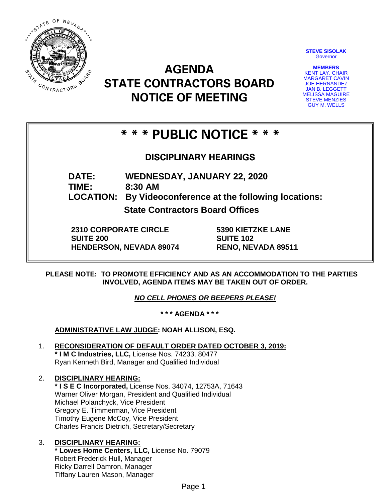

**STEVE SISOLAK Governor** 

**MEMBERS** KENT LAY, CHAIR MARGARET CAVIN JOE HERNANDEZ JAN B. LEGGETT MELISSA MAGUIRE STEVE MENZIES GUY M. WELLS

# **AGENDA STATE CONTRACTORS BOARD NOTICE OF MEETING**

## **\* \* \* PUBLIC NOTICE \* \* \***

## **DISCIPLINARY HEARINGS**

**DATE: WEDNESDAY, JANUARY 22, 2020**

**TIME: 8:30 AM**

**LOCATION: By Videoconference at the following locations:**

**State Contractors Board Offices**

**2310 CORPORATE CIRCLE SUITE 200 HENDERSON, NEVADA 89074** **5390 KIETZKE LANE SUITE 102 RENO, NEVADA 89511**

**PLEASE NOTE: TO PROMOTE EFFICIENCY AND AS AN ACCOMMODATION TO THE PARTIES INVOLVED, AGENDA ITEMS MAY BE TAKEN OUT OF ORDER.**

*NO CELL PHONES OR BEEPERS PLEASE!* 

**\* \* \* AGENDA \* \* \***

**ADMINISTRATIVE LAW JUDGE: NOAH ALLISON, ESQ.** 

1. **RECONSIDERATION OF DEFAULT ORDER DATED OCTOBER 3, 2019: \* I M C Industries, LLC,** License Nos. 74233, 80477 Ryan Kenneth Bird, Manager and Qualified Individual

## 2. **DISCIPLINARY HEARING:**

**\* I S E C Incorporated,** License Nos. 34074, 12753A, 71643 Warner Oliver Morgan, President and Qualified Individual Michael Polanchyck, Vice President Gregory E. Timmerman, Vice President Timothy Eugene McCoy, Vice President Charles Francis Dietrich, Secretary/Secretary

#### 3. **DISCIPLINARY HEARING: \* Lowes Home Centers, LLC,** License No. 79079 Robert Frederick Hull, Manager Ricky Darrell Damron, Manager Tiffany Lauren Mason, Manager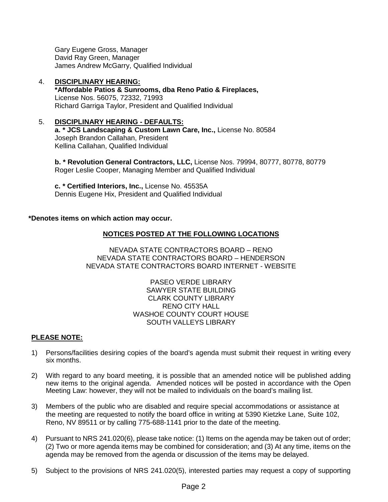Gary Eugene Gross, Manager David Ray Green, Manager James Andrew McGarry, Qualified Individual

- 4. **DISCIPLINARY HEARING: \*Affordable Patios & Sunrooms, dba Reno Patio & Fireplaces,**  License Nos. 56075, 72332, 71993 Richard Garriga Taylor, President and Qualified Individual
- 5. **DISCIPLINARY HEARING - DEFAULTS: a. \* JCS Landscaping & Custom Lawn Care, Inc.,** License No. 80584 Joseph Brandon Callahan, President Kellina Callahan, Qualified Individual

**b. \* Revolution General Contractors, LLC,** License Nos. 79994, 80777, 80778, 80779 Roger Leslie Cooper, Managing Member and Qualified Individual

**c. \* Certified Interiors, Inc.,** License No. 45535A Dennis Eugene Hix, President and Qualified Individual

#### **\*Denotes items on which action may occur.**

#### **NOTICES POSTED AT THE FOLLOWING LOCATIONS**

NEVADA STATE CONTRACTORS BOARD – RENO NEVADA STATE CONTRACTORS BOARD – HENDERSON NEVADA STATE CONTRACTORS BOARD INTERNET - WEBSITE

> PASEO VERDE LIBRARY SAWYER STATE BUILDING CLARK COUNTY LIBRARY RENO CITY HALL WASHOE COUNTY COURT HOUSE SOUTH VALLEYS LIBRARY

#### **PLEASE NOTE:**

- 1) Persons/facilities desiring copies of the board's agenda must submit their request in writing every six months.
- 2) With regard to any board meeting, it is possible that an amended notice will be published adding new items to the original agenda. Amended notices will be posted in accordance with the Open Meeting Law: however, they will not be mailed to individuals on the board's mailing list.
- 3) Members of the public who are disabled and require special accommodations or assistance at the meeting are requested to notify the board office in writing at 5390 Kietzke Lane, Suite 102, Reno, NV 89511 or by calling 775-688-1141 prior to the date of the meeting.
- 4) Pursuant to NRS 241.020(6), please take notice: (1) Items on the agenda may be taken out of order; (2) Two or more agenda items may be combined for consideration; and (3) At any time, items on the agenda may be removed from the agenda or discussion of the items may be delayed.
- 5) Subject to the provisions of NRS 241.020(5), interested parties may request a copy of supporting